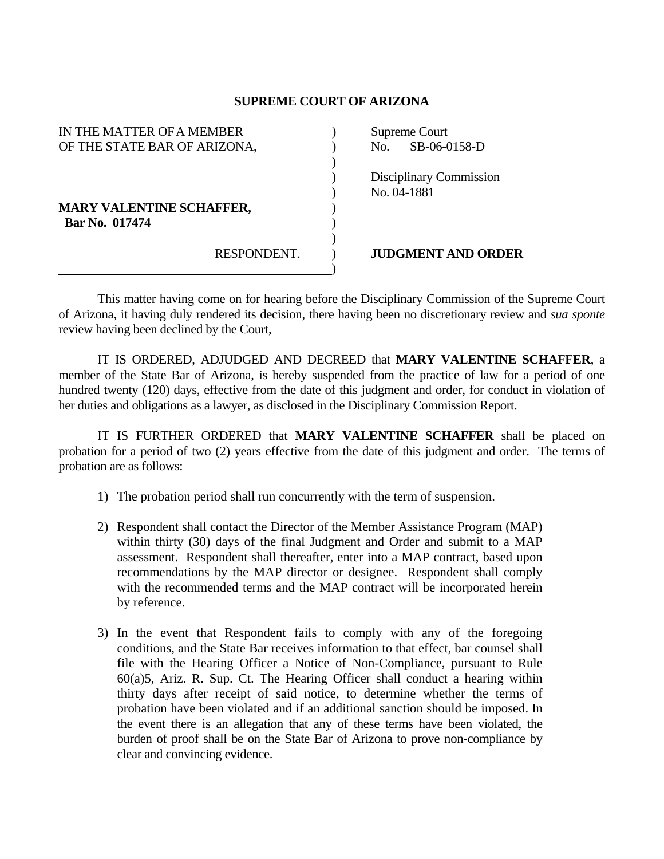## **SUPREME COURT OF ARIZONA**

| IN THE MATTER OF A MEMBER       |             |  | Supreme Court |                                |
|---------------------------------|-------------|--|---------------|--------------------------------|
| OF THE STATE BAR OF ARIZONA,    |             |  | No.           | SB-06-0158-D                   |
|                                 |             |  |               |                                |
|                                 |             |  |               | <b>Disciplinary Commission</b> |
|                                 |             |  |               | No. 04-1881                    |
| <b>MARY VALENTINE SCHAFFER,</b> |             |  |               |                                |
| Bar No. 017474                  |             |  |               |                                |
|                                 |             |  |               |                                |
|                                 | RESPONDENT. |  |               | <b>JUDGMENT AND ORDER</b>      |
|                                 |             |  |               |                                |

 This matter having come on for hearing before the Disciplinary Commission of the Supreme Court of Arizona, it having duly rendered its decision, there having been no discretionary review and *sua sponte* review having been declined by the Court,

 IT IS ORDERED, ADJUDGED AND DECREED that **MARY VALENTINE SCHAFFER**, a member of the State Bar of Arizona, is hereby suspended from the practice of law for a period of one hundred twenty (120) days, effective from the date of this judgment and order, for conduct in violation of her duties and obligations as a lawyer, as disclosed in the Disciplinary Commission Report.

 IT IS FURTHER ORDERED that **MARY VALENTINE SCHAFFER** shall be placed on probation for a period of two (2) years effective from the date of this judgment and order. The terms of probation are as follows:

- 1) The probation period shall run concurrently with the term of suspension.
- 2) Respondent shall contact the Director of the Member Assistance Program (MAP) within thirty (30) days of the final Judgment and Order and submit to a MAP assessment. Respondent shall thereafter, enter into a MAP contract, based upon recommendations by the MAP director or designee. Respondent shall comply with the recommended terms and the MAP contract will be incorporated herein by reference.
- 3) In the event that Respondent fails to comply with any of the foregoing conditions, and the State Bar receives information to that effect, bar counsel shall file with the Hearing Officer a Notice of Non-Compliance, pursuant to Rule 60(a)5, Ariz. R. Sup. Ct. The Hearing Officer shall conduct a hearing within thirty days after receipt of said notice, to determine whether the terms of probation have been violated and if an additional sanction should be imposed. In the event there is an allegation that any of these terms have been violated, the burden of proof shall be on the State Bar of Arizona to prove non-compliance by clear and convincing evidence.